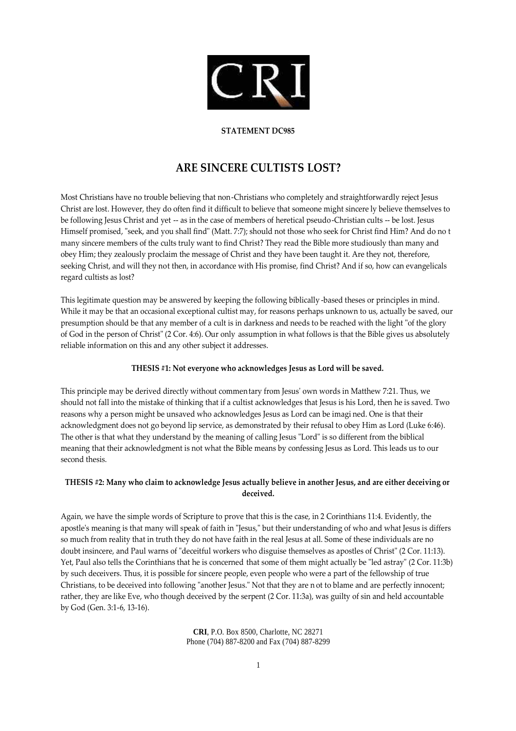

#### **STATEMENT DC985**

# **ARE SINCERE CULTISTS LOST?**

Most Christians have no trouble believing that non-Christians who completely and straightforwardly reject Jesus Christ are lost. However, they do often find it difficult to believe that someone might sincere ly believe themselves to be following Jesus Christ and yet -- as in the case of members of heretical pseudo-Christian cults -- be lost. Jesus Himself promised, "seek, and you shall find" (Matt. 7:7); should not those who seek for Christ find Him? And do no t many sincere members of the cults truly want to find Christ? They read the Bible more studiously than many and obey Him; they zealously proclaim the message of Christ and they have been taught it. Are they not, therefore, seeking Christ, and will they not then, in accordance with His promise, find Christ? And if so, how can evangelicals regard cultists as lost?

This legitimate question may be answered by keeping the following biblically -based theses or principles in mind. While it may be that an occasional exceptional cultist may, for reasons perhaps unknown to us, actually be saved, our presumption should be that any member of a cult is in darkness and needs to be reached with the light "of the glory of God in the person of Christ" (2 Cor. 4:6). Our only assumption in what follows is that the Bible gives us absolutely reliable information on this and any other subject it addresses.

#### **THESIS #1: Not everyone who acknowledges Jesus as Lord will be saved.**

This principle may be derived directly without commentary from Jesus' own words in Matthew 7:21. Thus, we should not fall into the mistake of thinking that if a cultist acknowledges that Jesus is his Lord, then he is saved. Two reasons why a person might be unsaved who acknowledges Jesus as Lord can be imagi ned. One is that their acknowledgment does not go beyond lip service, as demonstrated by their refusal to obey Him as Lord (Luke 6:46). The other is that what they understand by the meaning of calling Jesus "Lord" is so different from the biblical meaning that their acknowledgment is not what the Bible means by confessing Jesus as Lord. This leads us to our second thesis.

## **THESIS #2: Many who claim to acknowledge Jesus actually believe in another Jesus, and are either deceiving or deceived.**

Again, we have the simple words of Scripture to prove that this is the case, in 2 Corinthians 11:4. Evidently, the apostle's meaning is that many will speak of faith in "Jesus," but their understanding of who and what Jesus is differs so much from reality that in truth they do not have faith in the real Jesus at all. Some of these individuals are no doubt insincere, and Paul warns of "deceitful workers who disguise themselves as apostles of Christ" (2 Cor. 11:13). Yet, Paul also tells the Corinthians that he is concerned that some of them might actually be "led astray" (2 Cor. 11:3b) by such deceivers. Thus, it is possible for sincere people, even people who were a part of the fellowship of true Christians, to be deceived into following "another Jesus." Not that they are n ot to blame and are perfectly innocent; rather, they are like Eve, who though deceived by the serpent (2 Cor. 11:3a), was guilty of sin and held accountable by God (Gen. 3:1-6, 13-16).

> **CRI**, P.O. Box 8500, Charlotte, NC 28271 Phone (704) 887-8200 and Fax (704) 887-8299